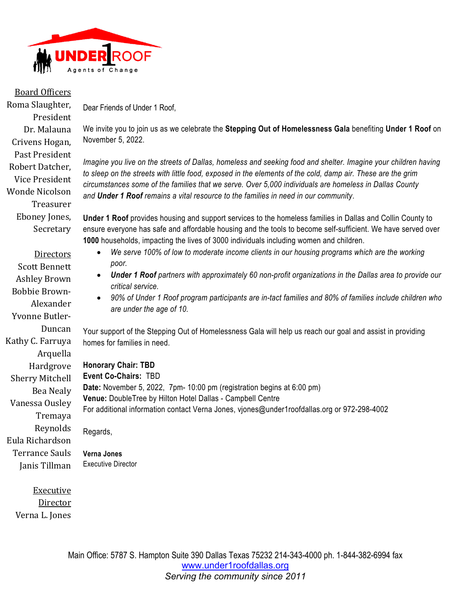

## **Board Officers**<br>Roma Slaughter, Board Officers

President Dr. Malauna Crivens Hogan, Past President Robert Datcher. Vice President Wonde Nicolson

> Treasurer Eboney Jones, Secretary

**Directors Scott Bennett** Ashley Brown Bobbie Brown-

Alexander

Duncan

Arquella Hardgrove Sherry Mitchell

Bea Nealy

Tremaya Reynolds

Vanessa Ousley

Eula Richardson Terrance Sauls Janis Tillman

Yvonne Butler-

Kathy C. Farruya

Dear Friends of Under 1 Roof,

We invite you to join us as we celebrate the **Stepping Out of Homelessness Gala** benefiting **Under 1 Roof** on November 5, 2022.

*Imagine you live on the streets of Dallas, homeless and seeking food and shelter. Imagine your children having to sleep on the streets with little food, exposed in the elements of the cold, damp air. These are the grim circumstances some of the families that we serve. Over 5,000 individuals are homeless in Dallas County and Under 1 Roof remains a vital resource to the families in need in our community*.

**Under 1 Roof** provides housing and support services to the homeless families in Dallas and Collin County to ensure everyone has safe and affordable housing and the tools to become self-sufficient. We have served over **1000** households, impacting the lives of 3000 individuals including women and children.

- *We serve 100% of low to moderate income clients in our housing programs which are the working poor.*
- *Under 1 Roof partners with approximately 60 non-profit organizations in the Dallas area to provide our critical service.*
- *90% of Under 1 Roof program participants are in-tact families and 80% of families include children who are under the age of 10.*

Your support of the Stepping Out of Homelessness Gala will help us reach our goal and assist in providing homes for families in need.

**Honorary Chair: TBD Event Co-Chairs:** TBD **Date:** November 5, 2022, 7pm- 10:00 pm (registration begins at 6:00 pm) **Venue:** DoubleTree by Hilton Hotel Dallas - Campbell Centre For additional information contact Verna Jones, vjones@under1roofdallas.org or 972-298-4002 Regards,

**Verna Jones**  Executive Director

**Executive** Director Verna L. Jones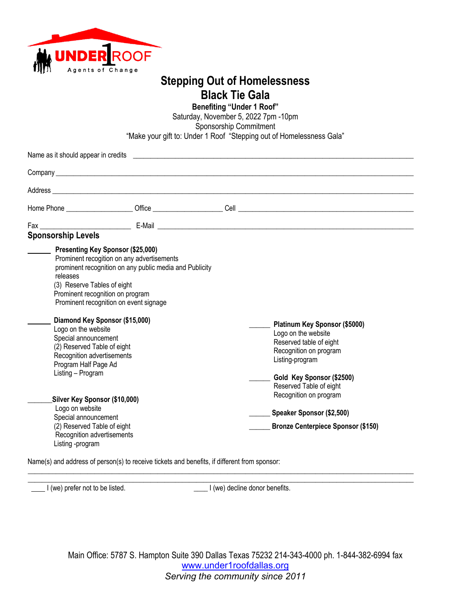

## **Stepping Out of Homelessness Black Tie Gala**

**Benefiting "Under 1 Roof"**

Saturday, November 5, 2022 7pm -10pm Sponsorship Commitment "Make your gift to: Under 1 Roof "Stepping out of Homelessness Gala"

|                                                                                                                                                                                                                                                                                                                    |                                                                                                                                                 | Name as it should appear in credits <b>expression and the contract of the contract of the contract of the contract of the contract of the contract of the contract of the contract of the contract of the contract of the contra</b> |
|--------------------------------------------------------------------------------------------------------------------------------------------------------------------------------------------------------------------------------------------------------------------------------------------------------------------|-------------------------------------------------------------------------------------------------------------------------------------------------|--------------------------------------------------------------------------------------------------------------------------------------------------------------------------------------------------------------------------------------|
|                                                                                                                                                                                                                                                                                                                    |                                                                                                                                                 |                                                                                                                                                                                                                                      |
|                                                                                                                                                                                                                                                                                                                    |                                                                                                                                                 |                                                                                                                                                                                                                                      |
|                                                                                                                                                                                                                                                                                                                    |                                                                                                                                                 |                                                                                                                                                                                                                                      |
|                                                                                                                                                                                                                                                                                                                    |                                                                                                                                                 |                                                                                                                                                                                                                                      |
| <b>Sponsorship Levels</b>                                                                                                                                                                                                                                                                                          |                                                                                                                                                 |                                                                                                                                                                                                                                      |
| <b>Presenting Key Sponsor (\$25,000)</b><br>releases<br>(3) Reserve Tables of eight<br>Prominent recognition on program<br>Diamond Key Sponsor (\$15,000)<br>Logo on the website<br>Special announcement<br>(2) Reserved Table of eight<br>Recognition advertisements<br>Program Half Page Ad<br>Listing - Program | Prominent recogition on any advertisements<br>prominent recognition on any public media and Publicity<br>Prominent recognition on event signage | Platinum Key Sponsor (\$5000)<br>Logo on the website<br>Reserved table of eight<br>Recognition on program<br>Listing-program<br>Gold Key Sponsor (\$2500)<br>Reserved Table of eight                                                 |
| Silver Key Sponsor (\$10,000)<br>Logo on website<br>Special announcement<br>(2) Reserved Table of eight<br>Recognition advertisements<br>Listing -program                                                                                                                                                          |                                                                                                                                                 | Recognition on program<br>Speaker Sponsor (\$2,500)<br><b>Bronze Centerpiece Sponsor (\$150)</b>                                                                                                                                     |

Name(s) and address of person(s) to receive tickets and benefits, if different from sponsor:

 $\_$  , and the set of the set of the set of the set of the set of the set of the set of the set of the set of the set of the set of the set of the set of the set of the set of the set of the set of the set of the set of th I (we) prefer not to be listed.  $\Box$  I (we) decline donor benefits.

 $\_$  , and the set of the set of the set of the set of the set of the set of the set of the set of the set of the set of the set of the set of the set of the set of the set of the set of the set of the set of the set of th